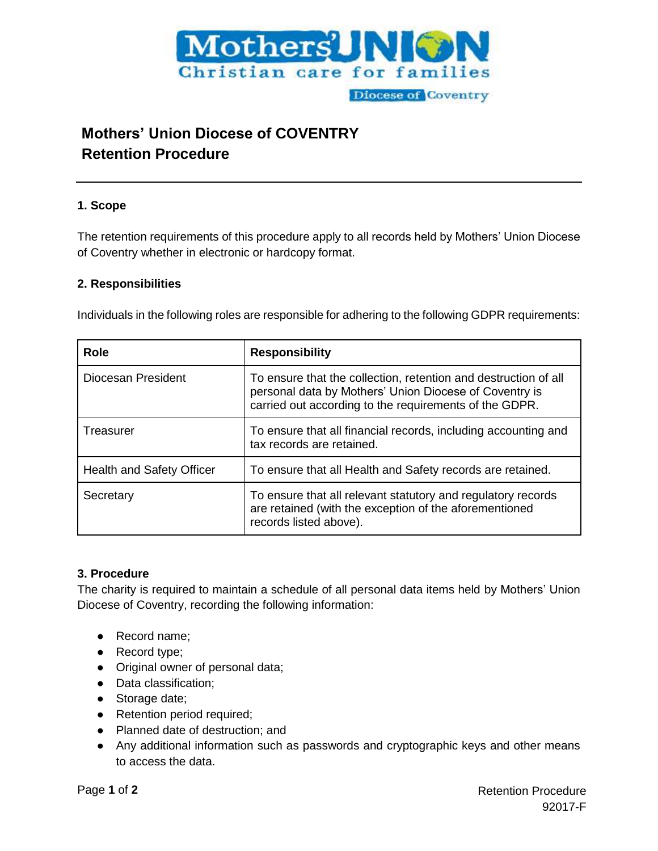

# **Mothers' Union Diocese of COVENTRY Retention Procedure**

## **1. Scope**

The retention requirements of this procedure apply to all records held by Mothers' Union Diocese of Coventry whether in electronic or hardcopy format.

### **2. Responsibilities**

Individuals in the following roles are responsible for adhering to the following GDPR requirements:

| <b>Role</b>               | <b>Responsibility</b>                                                                                                                                                               |  |
|---------------------------|-------------------------------------------------------------------------------------------------------------------------------------------------------------------------------------|--|
| Diocesan President        | To ensure that the collection, retention and destruction of all<br>personal data by Mothers' Union Diocese of Coventry is<br>carried out according to the requirements of the GDPR. |  |
| Treasurer                 | To ensure that all financial records, including accounting and<br>tax records are retained.                                                                                         |  |
| Health and Safety Officer | To ensure that all Health and Safety records are retained.                                                                                                                          |  |
| Secretary                 | To ensure that all relevant statutory and regulatory records<br>are retained (with the exception of the aforementioned<br>records listed above).                                    |  |

# **3. Procedure**

The charity is required to maintain a schedule of all personal data items held by Mothers' Union Diocese of Coventry, recording the following information:

- Record name;
- Record type;
- Original owner of personal data;
- Data classification;
- Storage date;
- Retention period required;
- Planned date of destruction; and
- Any additional information such as passwords and cryptographic keys and other means to access the data.